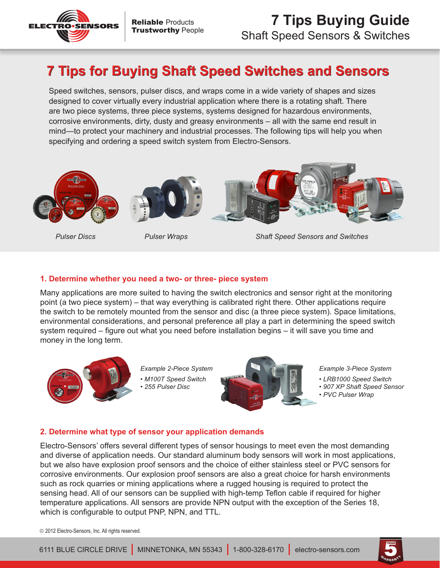

# **7 Tips for Buying Shaft Speed Switches and Sensors**

Speed switches, sensors, pulser discs, and wraps come in a wide variety of shapes and sizes designed to cover virtually every industrial application where there is a rotating shaft. There are two piece systems, three piece systems, systems designed for hazardous environments, corrosive environments, dirty, dusty and greasy environments – all with the same end result in mind—to protect your machinery and industrial processes. The following tips will help you when specifying and ordering a speed switch system from Electro-Sensors.







*Pulser Discs Pulser Wraps Shaft Speed Sensors and Switches*

## **1. Determine whether you need a two- or three- piece system**

Many applications are more suited to having the switch electronics and sensor right at the monitoring point (a two piece system) – that way everything is calibrated right there. Other applications require the switch to be remotely mounted from the sensor and disc (a three piece system). Space limitations, environmental considerations, and personal preference all play a part in determining the speed switch system required – figure out what you need before installation begins – it will save you time and money in the long term.



*Example 2-Piece System • M100T Speed Switch • 255 Pulser Disc*



*Example 3-Piece System*

- *LRB1000 Speed Switch*
- *907 XP Shaft Speed Sensor*
- *PVC Pulser Wrap*

# **2. Determine what type of sensor your application demands**

Electro-Sensors' offers several different types of sensor housings to meet even the most demanding and diverse of application needs. Our standard aluminum body sensors will work in most applications, but we also have explosion proof sensors and the choice of either stainless steel or PVC sensors for corrosive environments. Our explosion proof sensors are also a great choice for harsh environments such as rock quarries or mining applications where a rugged housing is required to protect the sensing head. All of our sensors can be supplied with high-temp Teflon cable if required for higher temperature applications. All sensors are provide NPN output with the exception of the Series 18, which is configurable to output PNP, NPN, and TTL.

2012 Electro-Sensors, Inc. All rights reserved.